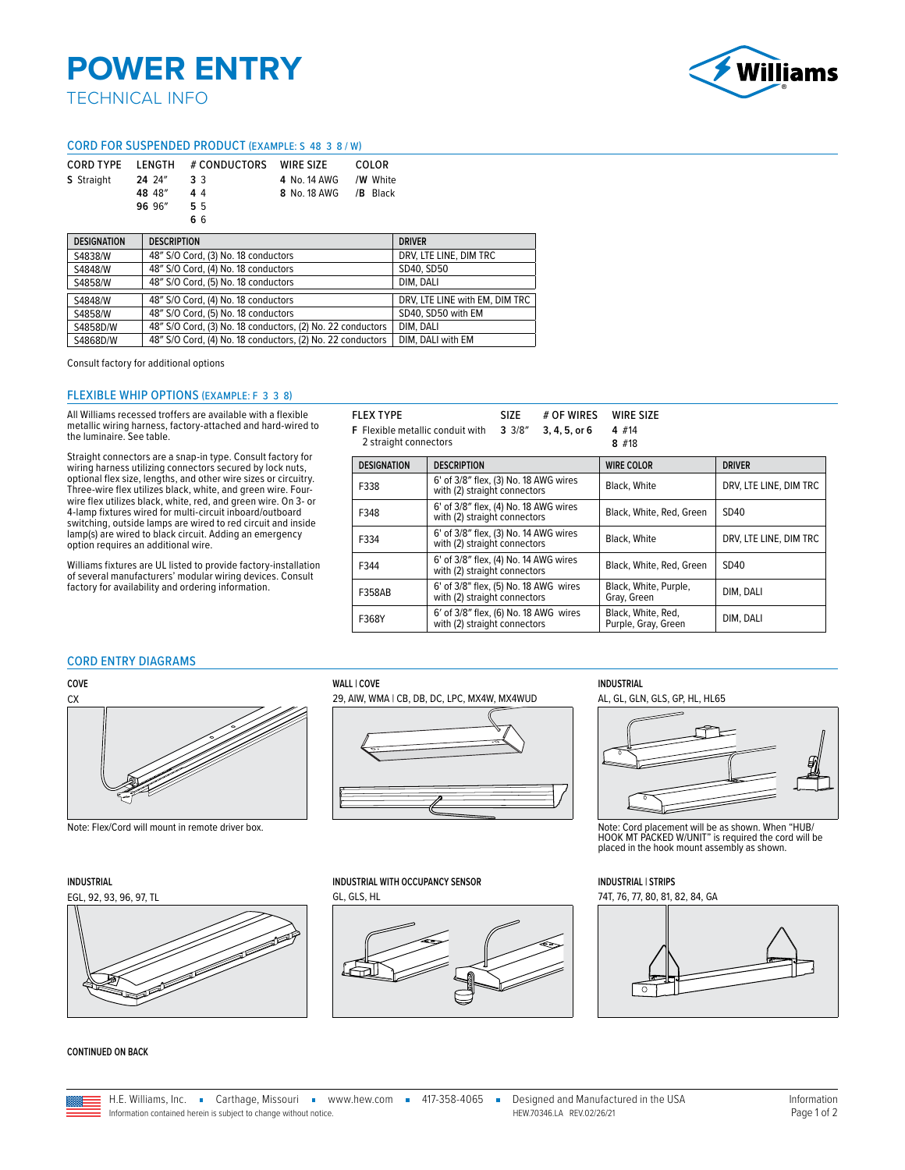# **POWER ENTRY**

### TECHNICAL INFO



### CORD FOR SUSPENDED PRODUCT (EXAMPLE: S 48 3 8 / W)

|                   |        | CORD TYPE LENGTH # CONDUCTORS WIRE SIZE |                        | COLOR |
|-------------------|--------|-----------------------------------------|------------------------|-------|
| <b>S</b> Straight | 24 24″ | 33                                      | 4 No. 14 AWG / W White |       |
|                   | 48 48" | 44                                      | 8 No. 18 AWG / B Black |       |
|                   | 96 96" | 55                                      |                        |       |
|                   |        | 66                                      |                        |       |

| <b>DESIGNATION</b> | <b>DESCRIPTION</b>                                         | <b>DRIVER</b>                  |  |
|--------------------|------------------------------------------------------------|--------------------------------|--|
| S4838/W            | 48" S/O Cord, (3) No. 18 conductors                        | DRV, LTE LINE, DIM TRC         |  |
| S4848/W            | 48" S/O Cord, (4) No. 18 conductors                        | SD40, SD50                     |  |
| S4858/W            | 48" S/O Cord, (5) No. 18 conductors                        | DIM. DALI                      |  |
| S4848/W            | 48" S/O Cord, (4) No. 18 conductors                        | DRV, LTE LINE with EM, DIM TRC |  |
| S4858/W            | 48" S/O Cord, (5) No. 18 conductors                        | SD40. SD50 with EM             |  |
| S4858D/W           | 48" S/O Cord, (3) No. 18 conductors, (2) No. 22 conductors | DIM. DALI                      |  |
| S4868D/W           | 48" S/O Cord, (4) No. 18 conductors, (2) No. 22 conductors | DIM. DALI with EM              |  |

Consult factory for additional options

### FLEXIBLE WHIP OPTIONS (EXAMPLE: F 3 3 8)

All Williams recessed troffers are available with a flexible metallic wiring harness, factory-attached and hard-wired to the luminaire. See table.

Straight connectors are a snap-in type. Consult factory for wiring harness utilizing connectors secured by lock nuts, optional flex size, lengths, and other wire sizes or circuitry. Three-wire flex utilizes black, white, and green wire. Fourwire flex utilizes black, white, red, and green wire. On 3- or 4-lamp fixtures wired for multi-circuit inboard/outboard switching, outside lamps are wired to red circuit and inside lamp(s) are wired to black circuit. Adding an emergency option requires an additional wire.

Williams fixtures are UL listed to provide factory-installation of several manufacturers' modular wiring devices. Consult factory for availability and ordering information.

|                                                                                              | <b>FLEX TYPE</b>   | <b>SIZE</b><br># OF WIRES                                             | WIRE SIZE                                 |                        |
|----------------------------------------------------------------------------------------------|--------------------|-----------------------------------------------------------------------|-------------------------------------------|------------------------|
| 3.3/8''<br><b>F</b> Flexible metallic conduit with<br>3, 4, 5, or 6<br>2 straight connectors |                    | 4 #14                                                                 |                                           |                        |
|                                                                                              |                    |                                                                       | $8$ #18                                   |                        |
|                                                                                              | <b>DESIGNATION</b> | <b>DESCRIPTION</b>                                                    | <b>WIRE COLOR</b>                         | <b>DRIVER</b>          |
|                                                                                              | F338               | 6' of 3/8" flex, (3) No. 18 AWG wires<br>with (2) straight connectors | Black, White                              | DRV, LTE LINE, DIM TRC |
|                                                                                              | F348               | 6' of 3/8" flex, (4) No. 18 AWG wires<br>with (2) straight connectors | Black, White, Red. Green                  | SD40                   |
|                                                                                              | F334               | 6' of 3/8" flex, (3) No. 14 AWG wires<br>with (2) straight connectors | Black, White                              | DRV. LTE LINE, DIM TRC |
|                                                                                              | F344               | 6' of 3/8" flex, (4) No. 14 AWG wires<br>with (2) straight connectors | Black, White, Red, Green                  | SD40                   |
|                                                                                              | <b>F358AB</b>      | 6' of 3/8" flex, (5) No. 18 AWG wires<br>with (2) straight connectors | Black, White, Purple,<br>Gray, Green      | DIM, DALI              |
|                                                                                              | F368Y              | 6' of 3/8" flex, (6) No. 18 AWG wires<br>with (2) straight connectors | Black, White, Red,<br>Purple, Gray, Green | DIM. DALI              |

### CORD ENTRY DIAGRAMS







**CONTINUED ON BACK**

**COVE WALL | COVE INDUSTRIAL**



### **INDUSTRIAL INDUSTRIAL WITH OCCUPANCY SENSOR INDUSTRIAL | STRIPS**





Note: Flex/Cord will mount in remote driver box.<br>HOOK MT PACKED W/UNIT" is required the cord will be<br>placed in the hook mount assembly as shown.

EGL, 92, 93, 96, 97, TL GL, GLS, HL 74T, 76, 77, 80, 81, 82, 84, GA



H.E. Williams, Inc. • Carthage, Missouri • www.hew.com • 417-358-4065 • Designed and Manufactured in the USA